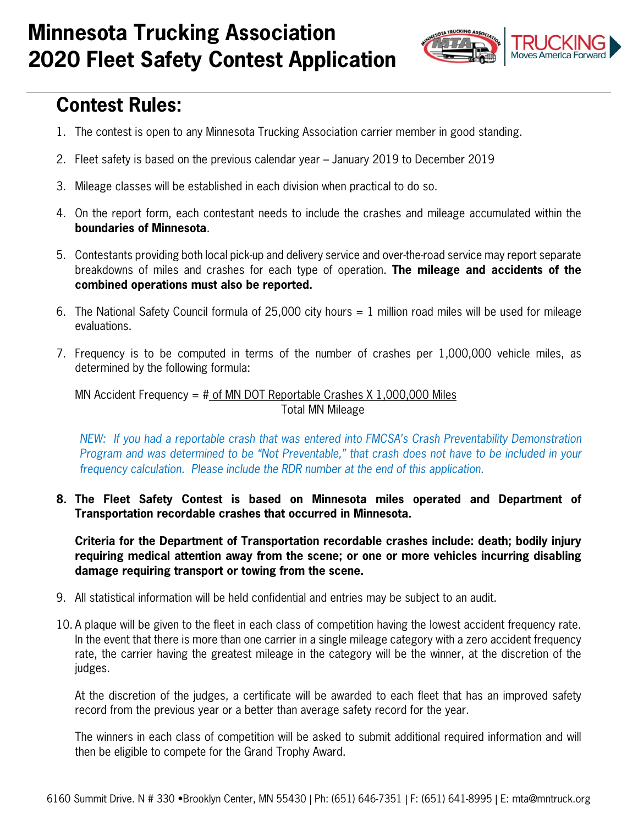

## **Contest Rules:**

- 1. The contest is open to any Minnesota Trucking Association carrier member in good standing.
- 2. Fleet safety is based on the previous calendar year January 2019 to December 2019
- 3. Mileage classes will be established in each division when practical to do so.
- 4. On the report form, each contestant needs to include the crashes and mileage accumulated within the **boundaries of Minnesota**.
- 5. Contestants providing both local pick-up and delivery service and over-the-road service may report separate breakdowns of miles and crashes for each type of operation. **The mileage and accidents of the combined operations must also be reported.**
- 6. The National Safety Council formula of 25,000 city hours = 1 million road miles will be used for mileage evaluations.
- 7. Frequency is to be computed in terms of the number of crashes per 1,000,000 vehicle miles, as determined by the following formula:

MN Accident Frequency = # of MN DOT Reportable Crashes X 1,000,000 Miles Total MN Mileage

*NEW: If you had a reportable crash that was entered into FMCSA's Crash Preventability Demonstration Program and was determined to be "Not Preventable," that crash does not have to be included in your frequency calculation. Please include the RDR number at the end of this application.*

**8. The Fleet Safety Contest is based on Minnesota miles operated and Department of Transportation recordable crashes that occurred in Minnesota.** 

**Criteria for the Department of Transportation recordable crashes include: death; bodily injury requiring medical attention away from the scene; or one or more vehicles incurring disabling damage requiring transport or towing from the scene.**

- 9. All statistical information will be held confidential and entries may be subject to an audit.
- 10. A plaque will be given to the fleet in each class of competition having the lowest accident frequency rate. In the event that there is more than one carrier in a single mileage category with a zero accident frequency rate, the carrier having the greatest mileage in the category will be the winner, at the discretion of the judges.

At the discretion of the judges, a certificate will be awarded to each fleet that has an improved safety record from the previous year or a better than average safety record for the year.

The winners in each class of competition will be asked to submit additional required information and will then be eligible to compete for the Grand Trophy Award.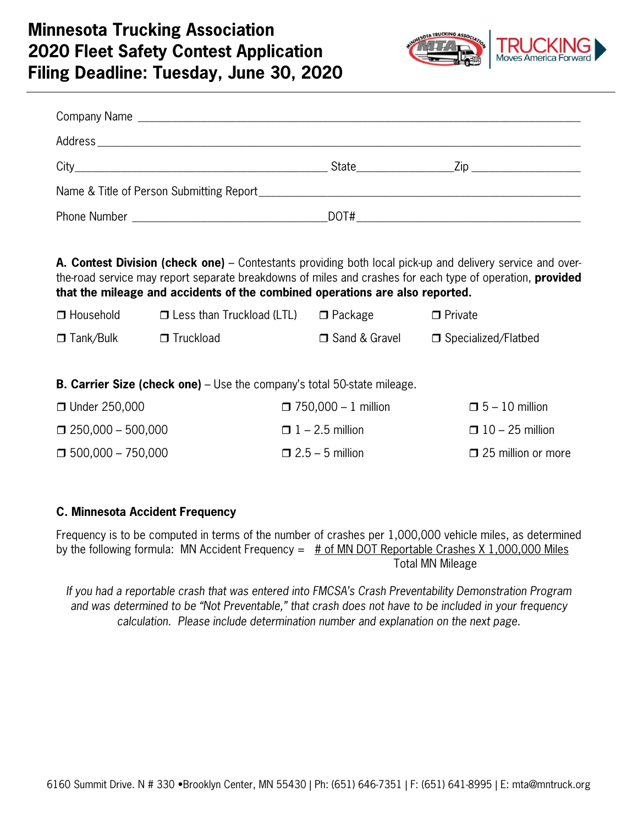

|  | State <u>John Zip</u> |
|--|-----------------------|
|  |                       |
|  |                       |

**A. Contest Division (check one)** – Contestants providing both local pick-up and delivery service and overthe-road service may report separate breakdowns of miles and crashes for each type of operation, **provided that the mileage and accidents of the combined operations are also reported.**

| $\Box$ Household | $\Box$ Less than Truckload (LTL) | $\Box$ Package  | $\Box$ Private        |
|------------------|----------------------------------|-----------------|-----------------------|
| $\Box$ Tank/Bulk | □ Truckload                      | □ Sand & Gravel | □ Specialized/Flatbed |

**B. Carrier Size (check one)** – Use the company's total 50-state mileage.

| $\Box$ Under 250,000     | $\Box$ 750,000 – 1 million | $\Box$ 5 – 10 million     |
|--------------------------|----------------------------|---------------------------|
| $\Box$ 250,000 - 500,000 | $\Box$ 1 – 2.5 million     | $\Box$ 10 – 25 million    |
| $\Box$ 500,000 - 750,000 | $\Box$ 2.5 – 5 million     | $\Box$ 25 million or more |

## **C. Minnesota Accident Frequency**

Frequency is to be computed in terms of the number of crashes per 1,000,000 vehicle miles, as determined by the following formula: MN Accident Frequency =  $\#$  of MN DOT Reportable Crashes X 1,000,000 Miles Total MN Mileage

*If you had a reportable crash that was entered into FMCSA's Crash Preventability Demonstration Program and was determined to be "Not Preventable," that crash does not have to be included in your frequency calculation. Please include determination number and explanation on the next page.*